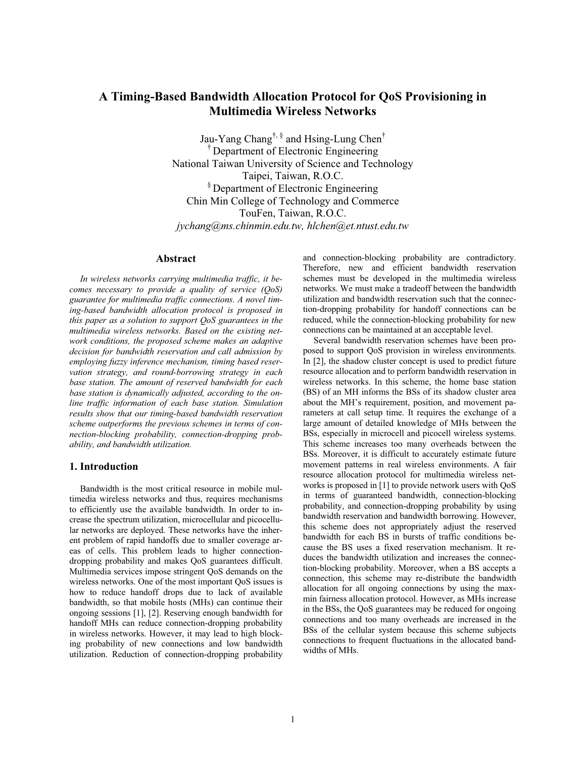# **A Timing-Based Bandwidth Allocation Protocol for QoS Provisioning in Multimedia Wireless Networks**

Jau-Yang Chang<sup>†, §</sup> and Hsing-Lung Chen<sup>†</sup> † Department of Electronic Engineering National Taiwan University of Science and Technology Taipei, Taiwan, R.O.C. § Department of Electronic Engineering Chin Min College of Technology and Commerce TouFen, Taiwan, R.O.C. *jychang@ms.chinmin.edu.tw, hlchen@et.ntust.edu.tw* 

### **Abstract**

*In wireless networks carrying multimedia traffic, it becomes necessary to provide a quality of service (QoS) guarantee for multimedia traffic connections. A novel timing-based bandwidth allocation protocol is proposed in this paper as a solution to support QoS guarantees in the multimedia wireless networks. Based on the existing network conditions, the proposed scheme makes an adaptive decision for bandwidth reservation and call admission by employing fuzzy inference mechanism, timing based reservation strategy, and round-borrowing strategy in each base station. The amount of reserved bandwidth for each base station is dynamically adjusted, according to the online traffic information of each base station. Simulation results show that our timing-based bandwidth reservation scheme outperforms the previous schemes in terms of connection-blocking probability, connection-dropping probability, and bandwidth utilization.* 

## **1. Introduction**

Bandwidth is the most critical resource in mobile multimedia wireless networks and thus, requires mechanisms to efficiently use the available bandwidth. In order to increase the spectrum utilization, microcellular and picocellular networks are deployed. These networks have the inherent problem of rapid handoffs due to smaller coverage areas of cells. This problem leads to higher connectiondropping probability and makes QoS guarantees difficult. Multimedia services impose stringent QoS demands on the wireless networks. One of the most important QoS issues is how to reduce handoff drops due to lack of available bandwidth, so that mobile hosts (MHs) can continue their ongoing sessions [1], [2]. Reserving enough bandwidth for handoff MHs can reduce connection-dropping probability in wireless networks. However, it may lead to high blocking probability of new connections and low bandwidth utilization. Reduction of connection-dropping probability and connection-blocking probability are contradictory. Therefore, new and efficient bandwidth reservation schemes must be developed in the multimedia wireless networks. We must make a tradeoff between the bandwidth utilization and bandwidth reservation such that the connection-dropping probability for handoff connections can be reduced, while the connection-blocking probability for new connections can be maintained at an acceptable level.

Several bandwidth reservation schemes have been proposed to support QoS provision in wireless environments. In [2], the shadow cluster concept is used to predict future resource allocation and to perform bandwidth reservation in wireless networks. In this scheme, the home base station (BS) of an MH informs the BSs of its shadow cluster area about the MH's requirement, position, and movement parameters at call setup time. It requires the exchange of a large amount of detailed knowledge of MHs between the BSs, especially in microcell and picocell wireless systems. This scheme increases too many overheads between the BSs. Moreover, it is difficult to accurately estimate future movement patterns in real wireless environments. A fair resource allocation protocol for multimedia wireless networks is proposed in [1] to provide network users with QoS in terms of guaranteed bandwidth, connection-blocking probability, and connection-dropping probability by using bandwidth reservation and bandwidth borrowing. However, this scheme does not appropriately adjust the reserved bandwidth for each BS in bursts of traffic conditions because the BS uses a fixed reservation mechanism. It reduces the bandwidth utilization and increases the connection-blocking probability. Moreover, when a BS accepts a connection, this scheme may re-distribute the bandwidth allocation for all ongoing connections by using the maxmin fairness allocation protocol. However, as MHs increase in the BSs, the QoS guarantees may be reduced for ongoing connections and too many overheads are increased in the BSs of the cellular system because this scheme subjects connections to frequent fluctuations in the allocated bandwidths of MHs.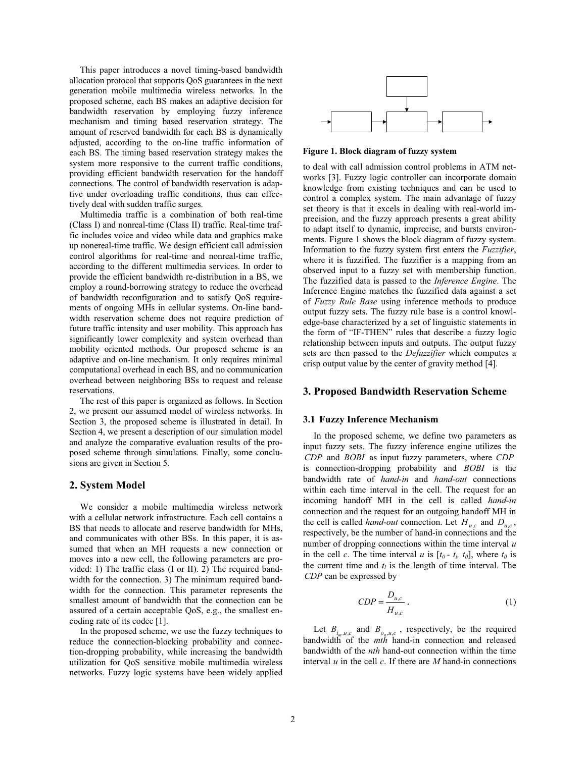This paper introduces a novel timing-based bandwidth allocation protocol that supports QoS guarantees in the next generation mobile multimedia wireless networks. In the proposed scheme, each BS makes an adaptive decision for bandwidth reservation by employing fuzzy inference mechanism and timing based reservation strategy. The amount of reserved bandwidth for each BS is dynamically adjusted, according to the on-line traffic information of each BS. The timing based reservation strategy makes the system more responsive to the current traffic conditions, providing efficient bandwidth reservation for the handoff connections. The control of bandwidth reservation is adaptive under overloading traffic conditions, thus can effectively deal with sudden traffic surges.

Multimedia traffic is a combination of both real-time (Class I) and nonreal-time (Class II) traffic. Real-time traffic includes voice and video while data and graphics make up nonereal-time traffic. We design efficient call admission control algorithms for real-time and nonreal-time traffic, according to the different multimedia services. In order to provide the efficient bandwidth re-distribution in a BS, we employ a round-borrowing strategy to reduce the overhead of bandwidth reconfiguration and to satisfy QoS requirements of ongoing MHs in cellular systems. On-line bandwidth reservation scheme does not require prediction of future traffic intensity and user mobility. This approach has significantly lower complexity and system overhead than mobility oriented methods. Our proposed scheme is an adaptive and on-line mechanism. It only requires minimal computational overhead in each BS, and no communication overhead between neighboring BSs to request and release reservations.

The rest of this paper is organized as follows. In Section 2, we present our assumed model of wireless networks. In Section 3, the proposed scheme is illustrated in detail. In Section 4, we present a description of our simulation model and analyze the comparative evaluation results of the proposed scheme through simulations. Finally, some conclusions are given in Section 5.

#### **2. System Model**

We consider a mobile multimedia wireless network with a cellular network infrastructure. Each cell contains a BS that needs to allocate and reserve bandwidth for MHs, and communicates with other BSs. In this paper, it is assumed that when an MH requests a new connection or moves into a new cell, the following parameters are provided: 1) The traffic class (I or II). 2) The required bandwidth for the connection. 3) The minimum required bandwidth for the connection. This parameter represents the smallest amount of bandwidth that the connection can be assured of a certain acceptable QoS, e.g., the smallest encoding rate of its codec [1].

In the proposed scheme, we use the fuzzy techniques to reduce the connection-blocking probability and connection-dropping probability, while increasing the bandwidth utilization for QoS sensitive mobile multimedia wireless networks. Fuzzy logic systems have been widely applied



**Figure 1. Block diagram of fuzzy system** 

to deal with call admission control problems in ATM networks [3]. Fuzzy logic controller can incorporate domain knowledge from existing techniques and can be used to control a complex system. The main advantage of fuzzy set theory is that it excels in dealing with real-world imprecision, and the fuzzy approach presents a great ability to adapt itself to dynamic, imprecise, and bursts environments. Figure 1 shows the block diagram of fuzzy system. Information to the fuzzy system first enters the *Fuzzifier*, where it is fuzzified. The fuzzifier is a mapping from an observed input to a fuzzy set with membership function. The fuzzified data is passed to the *Inference Engine*. The Inference Engine matches the fuzzified data against a set of *Fuzzy Rule Base* using inference methods to produce output fuzzy sets. The fuzzy rule base is a control knowledge-base characterized by a set of linguistic statements in the form of "IF-THEN" rules that describe a fuzzy logic relationship between inputs and outputs. The output fuzzy sets are then passed to the *Defuzzifier* which computes a crisp output value by the center of gravity method [4].

#### **3. Proposed Bandwidth Reservation Scheme**

## **3.1 Fuzzy Inference Mechanism**

In the proposed scheme, we define two parameters as input fuzzy sets. The fuzzy inference engine utilizes the *CDP* and *BOBI* as input fuzzy parameters, where *CDP* is connection-dropping probability and *BOBI* is the bandwidth rate of *hand-in* and *hand-out* connections within each time interval in the cell. The request for an incoming handoff MH in the cell is called *hand-in* connection and the request for an outgoing handoff MH in the cell is called *hand-out* connection. Let  $H_{u,c}$  and  $D_{u,c}$ , respectively, be the number of hand-in connections and the number of dropping connections within the time interval *u* in the cell *c*. The time interval *u* is  $[t_0 - t_l, t_0]$ , where  $t_0$  is the current time and  $t_l$  is the length of time interval. The *CDP* can be expressed by

$$
CDP = \frac{D_{u,c}}{H_{u,c}} \tag{1}
$$

Let  $B_{i_m, u, c}$  and  $B_{o_i, u, c}$ , respectively, be the required bandwidth of the *mth* hand-in connection and released bandwidth of the *nth* hand-out connection within the time interval *u* in the cell *c*. If there are *M* hand-in connections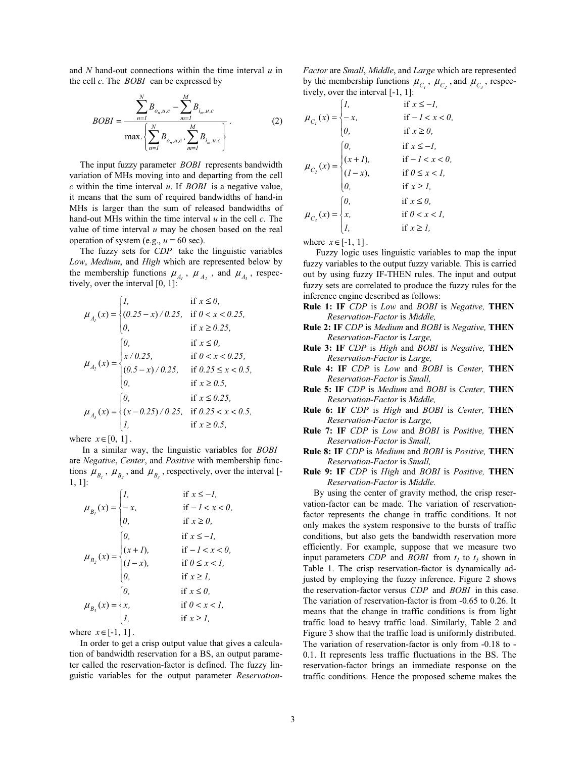and *N* hand-out connections within the time interval *u* in the cell *c*. The *BOBI* can be expressed by

$$
BOBI = \frac{\sum_{n=1}^{N} B_{o_n, u, c} - \sum_{m=1}^{M} B_{i_m, u, c}}{\max \left\{ \sum_{n=1}^{N} B_{o_n, u, c}, \sum_{m=1}^{M} B_{i_m, u, c} \right\}}.
$$
 (2)

The input fuzzy parameter *BOBI* represents bandwidth variation of MHs moving into and departing from the cell *c* within the time interval *u*. If *BOBI* is a negative value, it means that the sum of required bandwidths of hand-in MHs is larger than the sum of released bandwidths of hand-out MHs within the time interval *u* in the cell *c*. The value of time interval *u* may be chosen based on the real operation of system (e.g.,  $u = 60$  sec).

The fuzzy sets for *CDP* take the linguistic variables *Low*, *Medium*, and *High* which are represented below by the membership functions  $\mu_{A_1}$ ,  $\mu_{A_2}$ , and  $\mu_{A_3}$ , respectively, over the interval  $[0, 1]$ :

$$
\mu_{A_1}(x) = \begin{cases}\nI, & \text{if } x \le 0, \\
(0.25 - x)/0.25, & \text{if } 0 < x < 0.25, \\
0, & \text{if } x \ge 0.25,\n\end{cases}
$$
\n
$$
\mu_{A_2}(x) = \begin{cases}\n0, & \text{if } x \le 0, \\
x/0.25, & \text{if } 0 < x < 0.25, \\
(0.5 - x)/0.25, & \text{if } 0.25 \le x < 0.5, \\
0, & \text{if } x \ge 0.5,\n\end{cases}
$$
\n
$$
\mu_{A_3}(x) = \begin{cases}\n0, & \text{if } x \le 0.25, \\
(x - 0.25)/0.25, & \text{if } 0.25 < x < 0.5, \\
I, & \text{if } x \ge 0.5,\n\end{cases}
$$

where  $x \in [0, 1]$ .

In a similar way, the linguistic variables for *BOBI* are *Negative*, *Center*, and *Positive* with membership functions  $\mu_{B_1}$ ,  $\mu_{B_2}$ , and  $\mu_{B_3}$ , respectively, over the interval [-1, 1]:

$$
\mu_{B_l}(x) = \begin{cases}\nI, & \text{if } x \le -l, \\
-x, & \text{if } -l < x < 0, \\
0, & \text{if } x \ge 0,\n\end{cases}
$$
\n
$$
\mu_{B_2}(x) = \begin{cases}\n0, & \text{if } x \le -l, \\
(x + l), & \text{if } -l < x < 0, \\
(l - x), & \text{if } 0 \le x < l, \\
0, & \text{if } x \ge l,\n\end{cases}
$$
\n
$$
\mu_{B_3}(x) = \begin{cases}\n0, & \text{if } x \le 0, \\
x, & \text{if } 0 < x < l, \\
l, & \text{if } x \ge l,\n\end{cases}
$$

where  $x \in [-1, 1]$ .

In order to get a crisp output value that gives a calculation of bandwidth reservation for a BS, an output parameter called the reservation-factor is defined. The fuzzy linguistic variables for the output parameter *Reservation-* *Factor* are *Small*, *Middle*, and *Large* which are represented by the membership functions  $\mu_{C_1}$ ,  $\mu_{C_2}$ , and  $\mu_{C_3}$ , respectively, over the interval [-1, 1]:

$$
\mu_{C_i}(x) = \begin{cases} l, & \text{if } x \leq -l, \\ -x, & \text{if } -l < x < 0, \\ 0, & \text{if } x \geq 0, \end{cases}
$$

$$
\mu_{C_2}(x) = \begin{cases} 0, & \text{if } x \leq -l, \\ (x+l), & \text{if } -l < x < 0, \\ (l-x), & \text{if } 0 \leq x < l, \\ 0, & \text{if } x \geq l, \end{cases}
$$

$$
\mu_{C_3}(x) = \begin{cases} 0, & \text{if } x \leq 0, \\ x, & \text{if } 0 < x < l, \\ l, & \text{if } x \geq l, \end{cases}
$$

where  $x \in [-1, 1]$ .

Fuzzy logic uses linguistic variables to map the input fuzzy variables to the output fuzzy variable. This is carried out by using fuzzy IF-THEN rules. The input and output fuzzy sets are correlated to produce the fuzzy rules for the inference engine described as follows:

- **Rule 1: IF** *CDP* is *Low* and *BOBI* is *Negative,* **THEN** *Reservation-Factor* is *Middle,*
- **Rule 2: IF** *CDP* is *Medium* and *BOBI* is *Negative,* **THEN** *Reservation-Factor* is *Large,*
- **Rule 3: IF** *CDP* is *High* and *BOBI* is *Negative,* **THEN** *Reservation-Factor* is *Large,*
- **Rule 4: IF** *CDP* is *Low* and *BOBI* is *Center,* **THEN** *Reservation-Factor* is *Small,*
- **Rule 5: IF** *CDP* is *Medium* and *BOBI* is *Center,* **THEN** *Reservation-Factor* is *Middle,*
- **Rule 6: IF** *CDP* is *High* and *BOBI* is *Center,* **THEN** *Reservation-Factor* is *Large,*
- **Rule 7: IF** *CDP* is *Low* and *BOBI* is *Positive,* **THEN** *Reservation-Factor* is *Small,*
- **Rule 8: IF** *CDP* is *Medium* and *BOBI* is *Positive,* **THEN** *Reservation-Factor* is *Small,*
- **Rule 9: IF** *CDP* is *High* and *BOBI* is *Positive,* **THEN** *Reservation-Factor* is *Middle.*

By using the center of gravity method, the crisp reservation-factor can be made. The variation of reservationfactor represents the change in traffic conditions. It not only makes the system responsive to the bursts of traffic conditions, but also gets the bandwidth reservation more efficiently. For example, suppose that we measure two input parameters *CDP* and *BOBI* from  $t_1$  to  $t_5$  shown in Table 1. The crisp reservation-factor is dynamically adjusted by employing the fuzzy inference. Figure 2 shows the reservation-factor versus *CDP* and *BOBI* in this case. The variation of reservation-factor is from -0.65 to 0.26. It means that the change in traffic conditions is from light traffic load to heavy traffic load. Similarly, Table 2 and Figure 3 show that the traffic load is uniformly distributed. The variation of reservation-factor is only from -0.18 to - 0.1. It represents less traffic fluctuations in the BS. The reservation-factor brings an immediate response on the traffic conditions. Hence the proposed scheme makes the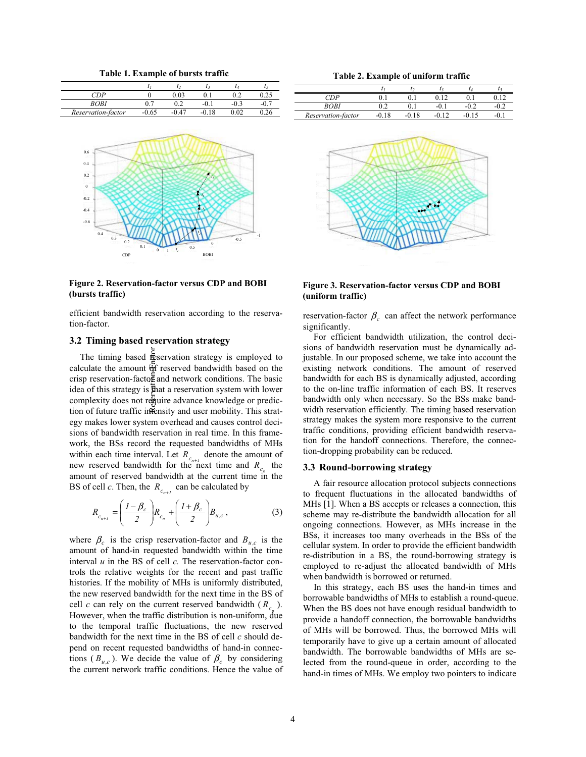**Table 1. Example of bursts traffic** 

|                    |         |       |        | l 4      |      |
|--------------------|---------|-------|--------|----------|------|
| ™P                 |         | 0.03  | 0.     | $_{0.2}$ | 0.25 |
| <i>BOBI</i>        |         | 0.2   | $-0.1$ | $-0.3$   |      |
| Reservation-factor | $-0.65$ | -0.47 |        | ) 02     |      |
|                    |         |       |        |          |      |



**Figure 2. Reservation-factor versus CDP and BOBI (bursts traffic)** 

efficient bandwidth reservation according to the reservation-factor.

## **3.2 Timing based reservation strategy**

The timing based reservation strategy is employed to calculate the amount  $\frac{1}{2}$  reserved bandwidth based on the crisp reservation-factor and network conditions. The basic idea of this strategy is  $\overline{\mathbf{B}}$  hat a reservation system with lower complexity does not require advance knowledge or prediction of future traffic intensity and user mobility. This strategy makes lower system overhead and causes control decisions of bandwidth reservation in real time. In this framework, the BSs record the requested bandwidths of MHs within each time interval. Let  $R_{c_{n+1}}$  denote the amount of new reserved bandwidth for the next time and  $R_{c_n}$  the amount of reserved bandwidth at the current time in the BS of cell *c*. Then, the  $R_{c_{n+1}}$  can be calculated by

$$
R_{c_{n+1}} = \left(\frac{1-\beta_c}{2}\right) R_{c_n} + \left(\frac{1+\beta_c}{2}\right) B_{u,c},
$$
 (3)

where  $\beta_c$  is the crisp reservation-factor and  $B_{u,c}$  is the amount of hand-in requested bandwidth within the time interval *u* in the BS of cell *c.* The reservation-factor controls the relative weights for the recent and past traffic histories. If the mobility of MHs is uniformly distributed, the new reserved bandwidth for the next time in the BS of cell *c* can rely on the current reserved bandwidth  $(R<sub>c</sub>)$ . However, when the traffic distribution is non-uniform, due to the temporal traffic fluctuations, the new reserved bandwidth for the next time in the BS of cell *c* should depend on recent requested bandwidths of hand-in connections ( $B_{u,c}$ ). We decide the value of  $\beta_c$  by considering the current network traffic conditions. Hence the value of

**Table 2. Example of uniform traffic** 

| ™P                 |         |         |        |        |        |
|--------------------|---------|---------|--------|--------|--------|
| <b>BOBI</b>        |         |         | $-0$ . | $-0.2$ | $-0.2$ |
| Reservation-factor | $-0.18$ | $-0.18$ |        |        |        |



#### **Figure 3. Reservation-factor versus CDP and BOBI (uniform traffic)**

reservation-factor  $\beta_c$  can affect the network performance significantly.

For efficient bandwidth utilization, the control decisions of bandwidth reservation must be dynamically adjustable. In our proposed scheme, we take into account the existing network conditions. The amount of reserved bandwidth for each BS is dynamically adjusted, according to the on-line traffic information of each BS. It reserves bandwidth only when necessary. So the BSs make bandwidth reservation efficiently. The timing based reservation strategy makes the system more responsive to the current traffic conditions, providing efficient bandwidth reservation for the handoff connections. Therefore, the connection-dropping probability can be reduced.

#### **3.3 Round-borrowing strategy**

A fair resource allocation protocol subjects connections to frequent fluctuations in the allocated bandwidths of MHs [1]. When a BS accepts or releases a connection, this scheme may re-distribute the bandwidth allocation for all ongoing connections. However, as MHs increase in the BSs, it increases too many overheads in the BSs of the cellular system. In order to provide the efficient bandwidth re-distribution in a BS, the round-borrowing strategy is employed to re-adjust the allocated bandwidth of MHs when bandwidth is borrowed or returned.

In this strategy, each BS uses the hand-in times and borrowable bandwidths of MHs to establish a round-queue. When the BS does not have enough residual bandwidth to provide a handoff connection, the borrowable bandwidths of MHs will be borrowed. Thus, the borrowed MHs will temporarily have to give up a certain amount of allocated bandwidth. The borrowable bandwidths of MHs are selected from the round-queue in order, according to the hand-in times of MHs. We employ two pointers to indicate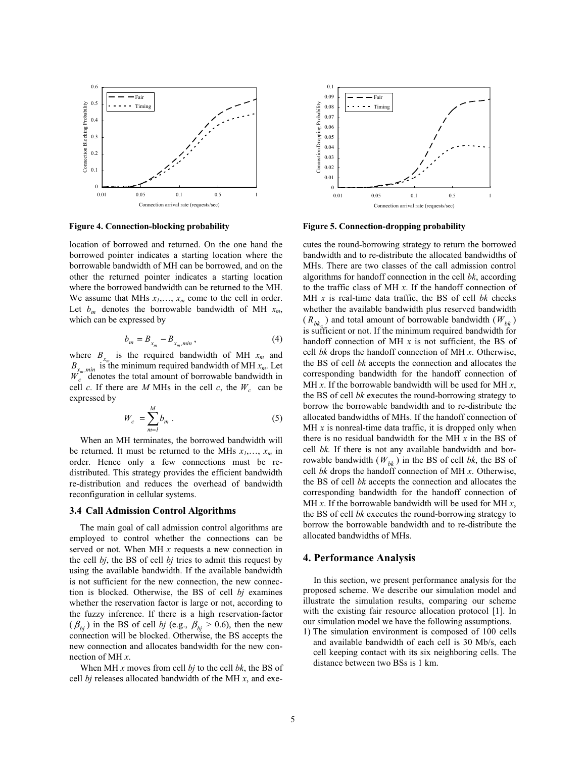

**Figure 4. Connection-blocking probability** 

location of borrowed and returned. On the one hand the borrowed pointer indicates a starting location where the borrowable bandwidth of MH can be borrowed, and on the other the returned pointer indicates a starting location where the borrowed bandwidth can be returned to the MH. We assume that MHs  $x_1, \ldots, x_m$  come to the cell in order. Let  $b_m$  denotes the borrowable bandwidth of MH  $x_m$ , which can be expressed by

$$
b_m = B_{x_m} - B_{x_m, min}, \qquad (4)
$$

where  $B_{x_m}$  is the required bandwidth of MH  $x_m$  and  $B_{x_m, min}$  is the minimum required bandwidth of MH  $x_m$ . Let  $W_c^{\mu\nu}$  denotes the total amount of borrowable bandwidth in cell *c*. If there are *M* MHs in the cell *c*, the  $W_c$  can be expressed by

$$
W_c = \sum_{m=1}^{M} b_m \tag{5}
$$

When an MH terminates, the borrowed bandwidth will be returned. It must be returned to the MHs  $x_1, \ldots, x_m$  in order. Hence only a few connections must be redistributed. This strategy provides the efficient bandwidth re-distribution and reduces the overhead of bandwidth reconfiguration in cellular systems.

#### **3.4 Call Admission Control Algorithms**

The main goal of call admission control algorithms are employed to control whether the connections can be served or not. When MH *x* requests a new connection in the cell *bj*, the BS of cell *bj* tries to admit this request by using the available bandwidth. If the available bandwidth is not sufficient for the new connection, the new connection is blocked. Otherwise, the BS of cell *bj* examines whether the reservation factor is large or not, according to the fuzzy inference. If there is a high reservation-factor  $(\beta_{bi})$  in the BS of cell *bj* (e.g.,  $\beta_{bi} > 0.6$ ), then the new connection will be blocked. Otherwise, the BS accepts the new connection and allocates bandwidth for the new connection of MH *x*.

When MH *x* moves from cell *bj* to the cell *bk*, the BS of cell *bj* releases allocated bandwidth of the MH *x*, and exe-



**Figure 5. Connection-dropping probability** 

cutes the round-borrowing strategy to return the borrowed bandwidth and to re-distribute the allocated bandwidths of MHs. There are two classes of the call admission control algorithms for handoff connection in the cell *bk*, according to the traffic class of MH *x*. If the handoff connection of MH *x* is real-time data traffic, the BS of cell *bk* checks whether the available bandwidth plus reserved bandwidth  $(R_{bk_n})$  and total amount of borrowable bandwidth  $(W_{bk})$ is sufficient or not. If the minimum required bandwidth for handoff connection of MH *x* is not sufficient, the BS of cell *bk* drops the handoff connection of MH *x*. Otherwise, the BS of cell *bk* accepts the connection and allocates the corresponding bandwidth for the handoff connection of MH *x*. If the borrowable bandwidth will be used for MH *x*, the BS of cell *bk* executes the round-borrowing strategy to borrow the borrowable bandwidth and to re-distribute the allocated bandwidths of MHs. If the handoff connection of  $MH x$  is nonreal-time data traffic, it is dropped only when there is no residual bandwidth for the MH *x* in the BS of cell *bk.* If there is not any available bandwidth and borrowable bandwidth ( $W_{bk}$ ) in the BS of cell *bk*, the BS of cell *bk* drops the handoff connection of MH *x*. Otherwise, the BS of cell *bk* accepts the connection and allocates the corresponding bandwidth for the handoff connection of MH *x*. If the borrowable bandwidth will be used for MH *x*, the BS of cell *bk* executes the round-borrowing strategy to borrow the borrowable bandwidth and to re-distribute the allocated bandwidths of MHs.

#### **4. Performance Analysis**

In this section, we present performance analysis for the proposed scheme. We describe our simulation model and illustrate the simulation results, comparing our scheme with the existing fair resource allocation protocol [1]. In our simulation model we have the following assumptions.

1) The simulation environment is composed of 100 cells and available bandwidth of each cell is 30 Mb/s, each cell keeping contact with its six neighboring cells. The distance between two BSs is 1 km.